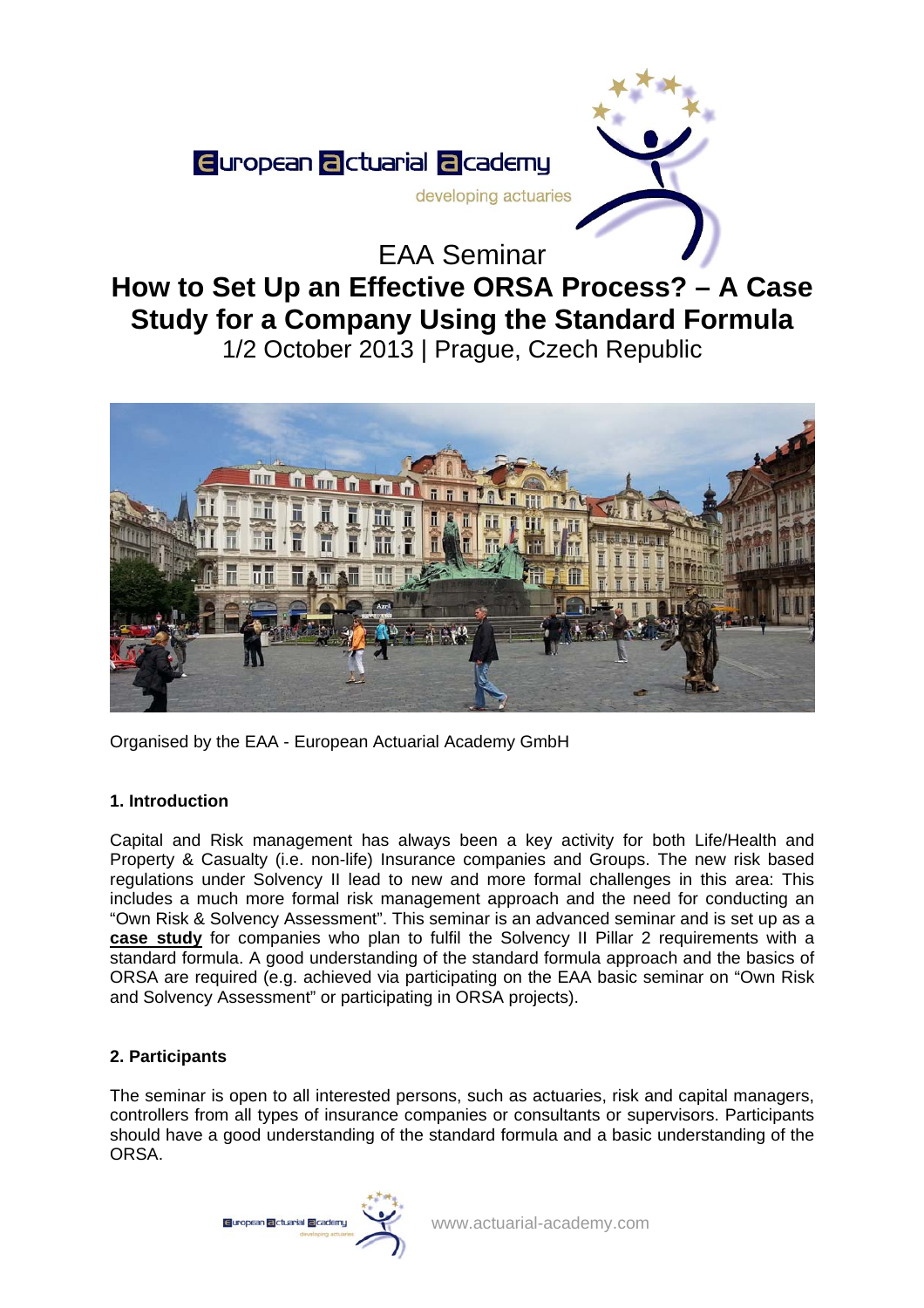

# **How to Set Up an Effective ORSA Process? – A Case Study for a Company Using the Standard Formula**  1/2 October 2013 | Prague, Czech Republic



Organised by the EAA - European Actuarial Academy GmbH

# **1. Introduction**

Capital and Risk management has always been a key activity for both Life/Health and Property & Casualty (i.e. non-life) Insurance companies and Groups. The new risk based regulations under Solvency II lead to new and more formal challenges in this area: This includes a much more formal risk management approach and the need for conducting an "Own Risk & Solvency Assessment". This seminar is an advanced seminar and is set up as a **case study** for companies who plan to fulfil the Solvency II Pillar 2 requirements with a standard formula. A good understanding of the standard formula approach and the basics of ORSA are required (e.g. achieved via participating on the EAA basic seminar on "Own Risk and Solvency Assessment" or participating in ORSA projects).

# **2. Participants**

The seminar is open to all interested persons, such as actuaries, risk and capital managers, controllers from all types of insurance companies or consultants or supervisors. Participants should have a good understanding of the standard formula and a basic understanding of the ORSA.

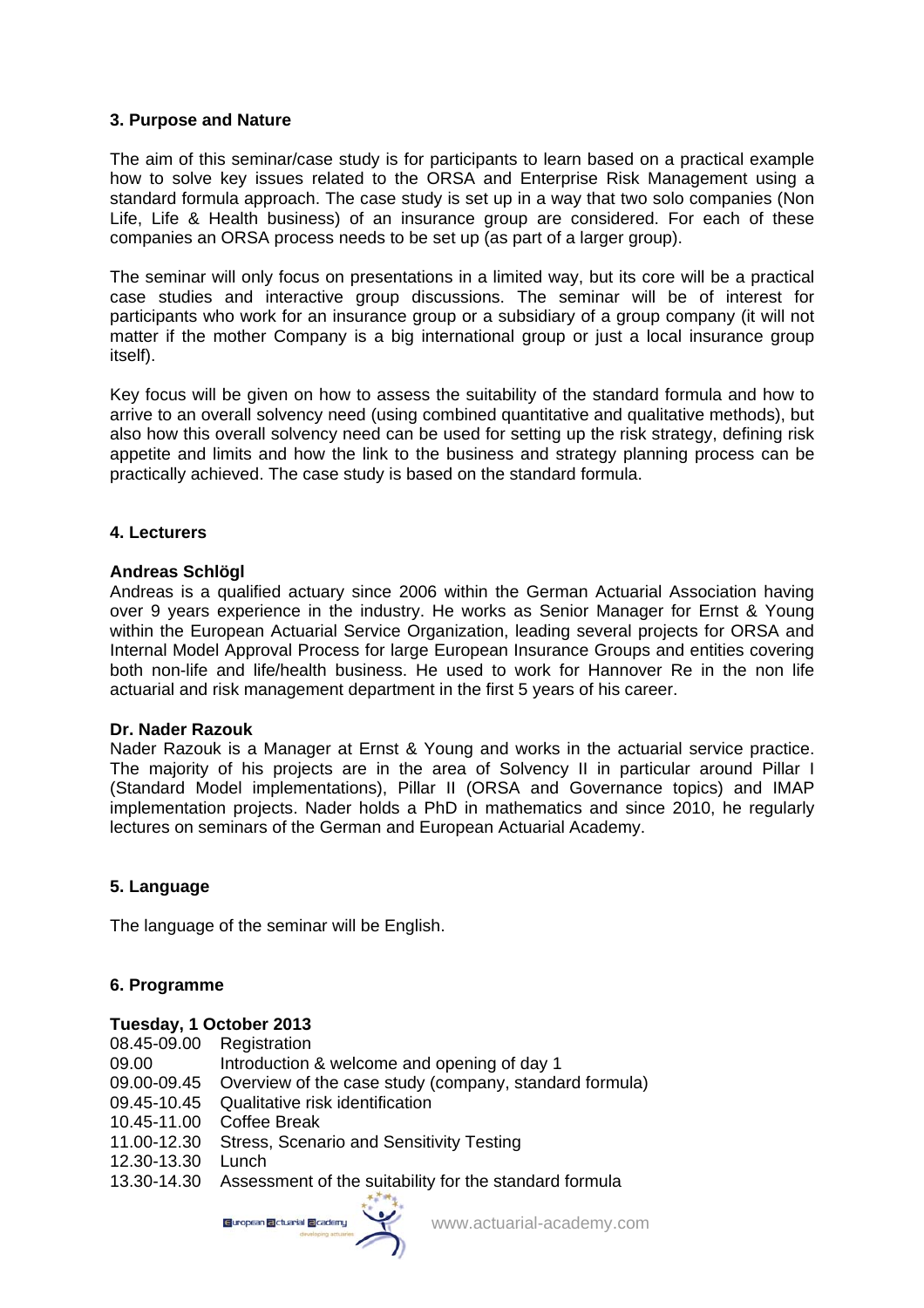#### **3. Purpose and Nature**

The aim of this seminar/case study is for participants to learn based on a practical example how to solve key issues related to the ORSA and Enterprise Risk Management using a standard formula approach. The case study is set up in a way that two solo companies (Non Life, Life & Health business) of an insurance group are considered. For each of these companies an ORSA process needs to be set up (as part of a larger group).

The seminar will only focus on presentations in a limited way, but its core will be a practical case studies and interactive group discussions. The seminar will be of interest for participants who work for an insurance group or a subsidiary of a group company (it will not matter if the mother Company is a big international group or just a local insurance group itself).

Key focus will be given on how to assess the suitability of the standard formula and how to arrive to an overall solvency need (using combined quantitative and qualitative methods), but also how this overall solvency need can be used for setting up the risk strategy, defining risk appetite and limits and how the link to the business and strategy planning process can be practically achieved. The case study is based on the standard formula.

#### **4. Lecturers**

#### **Andreas Schlögl**

Andreas is a qualified actuary since 2006 within the German Actuarial Association having over 9 years experience in the industry. He works as Senior Manager for Ernst & Young within the European Actuarial Service Organization, leading several projects for ORSA and Internal Model Approval Process for large European Insurance Groups and entities covering both non-life and life/health business. He used to work for Hannover Re in the non life actuarial and risk management department in the first 5 years of his career.

#### **Dr. Nader Razouk**

Nader Razouk is a Manager at Ernst & Young and works in the actuarial service practice. The majority of his projects are in the area of Solvency II in particular around Pillar I (Standard Model implementations), Pillar II (ORSA and Governance topics) and IMAP implementation projects. Nader holds a PhD in mathematics and since 2010, he regularly lectures on seminars of the German and European Actuarial Academy.

## **5. Language**

The language of the seminar will be English.

## **6. Programme**

#### **Tuesday, 1 October 2013**

| 08.45-09.00 | Registration                                                       |
|-------------|--------------------------------------------------------------------|
| 09.00       | Introduction & welcome and opening of day 1                        |
| 09.00-09.45 | Overview of the case study (company, standard formula)             |
| 09.45-10.45 | Qualitative risk identification                                    |
| 10.45-11.00 | Coffee Break                                                       |
| 11.00-12.30 | Stress, Scenario and Sensitivity Testing                           |
| 12.30-13.30 | Lunch                                                              |
|             | 13.30-14.30 Assessment of the suitability for the standard formula |
|             |                                                                    |



www.actuarial-academy.com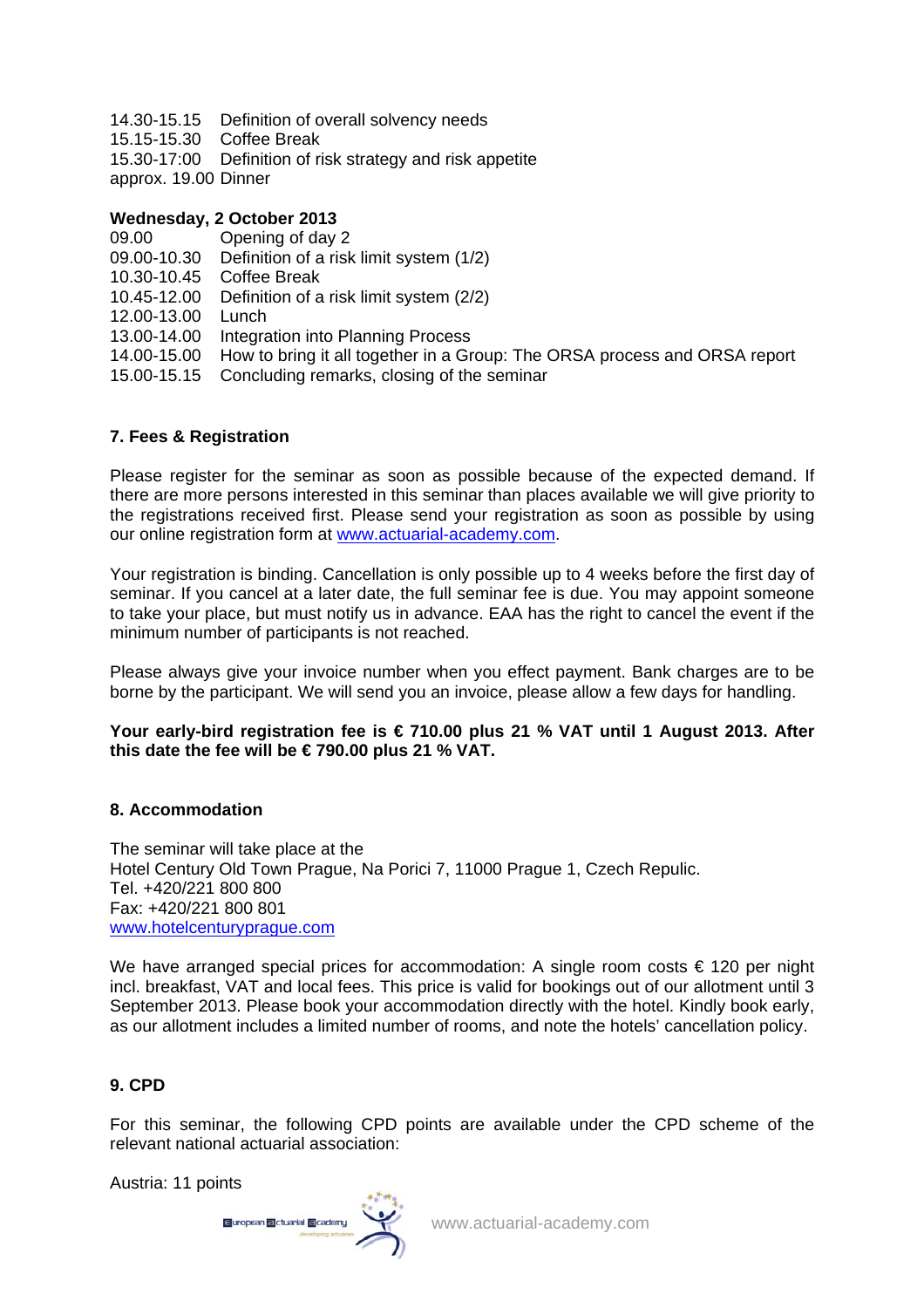14.30-15.15 Definition of overall solvency needs

- 15.15-15.30 Coffee Break
- 15.30-17:00 Definition of risk strategy and risk appetite
- approx. 19.00 Dinner

## **Wednesday, 2 October 2013**

09.00 Opening of day 2

- 09.00-10.30 Definition of a risk limit system (1/2)
- 10.30-10.45 Coffee Break
- 10.45-12.00 Definition of a risk limit system (2/2)
- 12.00-13.00 Lunch
- 13.00-14.00 Integration into Planning Process
- 14.00-15.00 How to bring it all together in a Group: The ORSA process and ORSA report
- 15.00-15.15 Concluding remarks, closing of the seminar

# **7. Fees & Registration**

Please register for the seminar as soon as possible because of the expected demand. If there are more persons interested in this seminar than places available we will give priority to the registrations received first. Please send your registration as soon as possible by using our online registration form at www.actuarial-academy.com.

Your registration is binding. Cancellation is only possible up to 4 weeks before the first day of seminar. If you cancel at a later date, the full seminar fee is due. You may appoint someone to take your place, but must notify us in advance. EAA has the right to cancel the event if the minimum number of participants is not reached.

Please always give your invoice number when you effect payment. Bank charges are to be borne by the participant. We will send you an invoice, please allow a few days for handling.

## **Your early-bird registration fee is € 710.00 plus 21 % VAT until 1 August 2013. After this date the fee will be € 790.00 plus 21 % VAT.**

# **8. Accommodation**

The seminar will take place at the Hotel Century Old Town Prague, Na Porici 7, 11000 Prague 1, Czech Repulic. Tel. +420/221 800 800 Fax: +420/221 800 801 www.hotelcenturyprague.com

We have arranged special prices for accommodation: A single room costs  $\epsilon$  120 per night incl. breakfast, VAT and local fees. This price is valid for bookings out of our allotment until 3 September 2013. Please book your accommodation directly with the hotel. Kindly book early, as our allotment includes a limited number of rooms, and note the hotels' cancellation policy.

# **9. CPD**

For this seminar, the following CPD points are available under the CPD scheme of the relevant national actuarial association:

Austria: 11 points